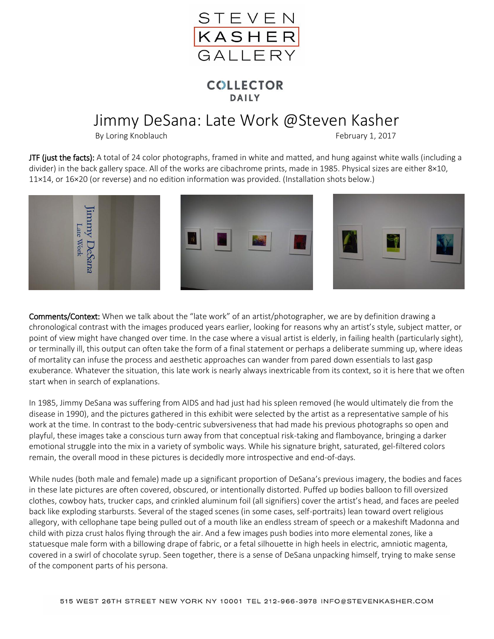

## **COLLECTOR DAILY**

## Jimmy DeSana: Late Work @Steven Kasher

By Loring Knoblauch **February 1, 2017** 

JTF (just the facts): A total of 24 color photographs, framed in white and matted, and hung against white walls (including a divider) in the back gallery space. All of the works are cibachrome prints, made in 1985. Physical sizes are either 8×10, 11×14, or 16×20 (or reverse) and no edition information was provided. (Installation shots below.)



Comments/Context: When we talk about the "late work" of an artist/photographer, we are by definition drawing a chronological contrast with the images produced years earlier, looking for reasons why an artist's style, subject matter, or point of view might have changed over time. In the case where a visual artist is elderly, in failing health (particularly sight), or terminally ill, this output can often take the form of a final statement or perhaps a deliberate summing up, where ideas of mortality can infuse the process and aesthetic approaches can wander from pared down essentials to last gasp exuberance. Whatever the situation, this late work is nearly always inextricable from its context, so it is here that we often start when in search of explanations.

In 1985, Jimmy DeSana was suffering from AIDS and had just had his spleen removed (he would ultimately die from the disease in 1990), and the pictures gathered in this exhibit were selected by the artist as a representative sample of his work at the time. In contrast to the body-centric subversiveness that had made his previous photographs so open and playful, these images take a conscious turn away from that conceptual risk-taking and flamboyance, bringing a darker emotional struggle into the mix in a variety of symbolic ways. While his signature bright, saturated, gel-filtered colors remain, the overall mood in these pictures is decidedly more introspective and end-of-days.

While nudes (both male and female) made up a significant proportion of DeSana's previous imagery, the bodies and faces in these late pictures are often covered, obscured, or intentionally distorted. Puffed up bodies balloon to fill oversized clothes, cowboy hats, trucker caps, and crinkled aluminum foil (all signifiers) cover the artist's head, and faces are peeled back like exploding starbursts. Several of the staged scenes (in some cases, self-portraits) lean toward overt religious allegory, with cellophane tape being pulled out of a mouth like an endless stream of speech or a makeshift Madonna and child with pizza crust halos flying through the air. And a few images push bodies into more elemental zones, like a statuesque male form with a billowing drape of fabric, or a fetal silhouette in high heels in electric, amniotic magenta, covered in a swirl of chocolate syrup. Seen together, there is a sense of DeSana unpacking himself, trying to make sense of the component parts of his persona.